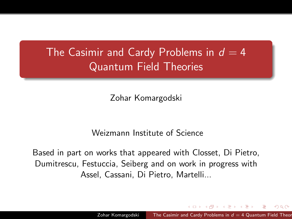## The Casimir and Cardy Problems in  $d = 4$ Quantum Field Theories

Zohar Komargodski

<span id="page-0-0"></span>Weizmann Institute of Science

Based in part on works that appeared with Closset, Di Pietro, Dumitrescu, Festuccia, Seiberg and on work in progress with Assel, Cassani, Di Pietro, Martelli...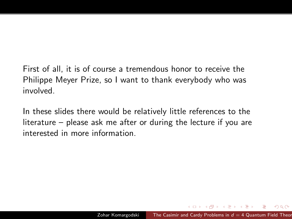First of all, it is of course a tremendous honor to receive the Philippe Meyer Prize, so I want to thank everybody who was involved.

In these slides there would be relatively little references to the literature – please ask me after or during the lecture if you are interested in more information.

 $QQ$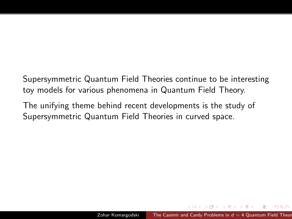Supersymmetric Quantum Field Theories continue to be interesting toy models for various phenomena in Quantum Field Theory.

The unifying theme behind recent developments is the study of Supersymmetric Quantum Field Theories in curved space.

**ARACTES** 

つくへ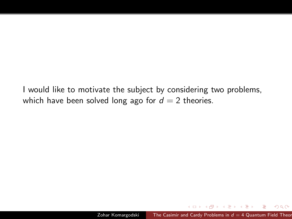I would like to motivate the subject by considering two problems, which have been solved long ago for  $d = 2$  theories.

 $2Q$ 

化重复 化重变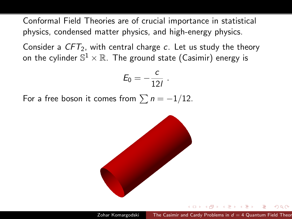Conformal Field Theories are of crucial importance in statistical physics, condensed matter physics, and high-energy physics.

Consider a  $CFT_2$ , with central charge c. Let us study the theory on the cylinder  $\mathbb{S}^1\times\mathbb{R}.$  The ground state (Casimir) energy is

$$
E_0=-\frac{c}{12l}.
$$

For a free boson it comes from  $\sum n = -1/12$ .

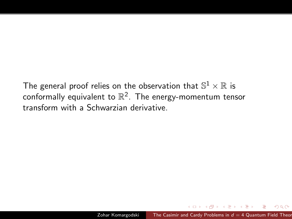The general proof relies on the observation that  $\mathbb{S}^1\times\mathbb{R}$  is conformally equivalent to  $\mathbb{R}^2$ . The energy-momentum tensor transform with a Schwarzian derivative.

医阿雷氏阿雷氏

 $QQ$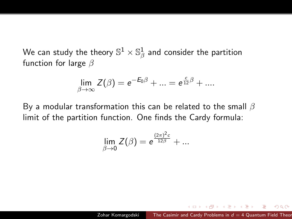We can study the theory  $\mathbb{S}^{1}\times\mathbb{S}^{1}_{\beta}$  and consider the partition function for large  $\beta$ 

$$
\lim_{\beta \to \infty} Z(\beta) = e^{-E_0 \beta} + \dots = e^{\frac{c}{12}\beta} + \dots
$$

By a modular transformation this can be related to the small  $\beta$ limit of the partition function. One finds the Cardy formula:

$$
\lim_{\beta \to 0} Z(\beta) = e^{\frac{(2\pi)^2 c}{12\beta}} + \dots
$$

つくへ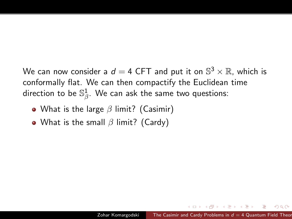We can now consider a  $d=$  4 CFT and put it on  $\mathbb{S}^3\times\mathbb{R}$ , which is conformally flat. We can then compactify the Euclidean time direction to be  $\mathbb{S}^1_\beta.$  We can ask the same two questions:

- What is the large  $\beta$  limit? (Casimir)
- What is the small  $\beta$  limit? (Cardy)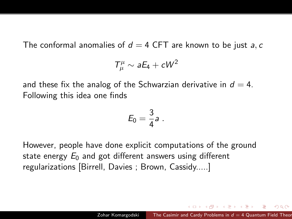The conformal anomalies of  $d = 4$  CFT are known to be just a, c

$$
T^{\mu}_{\mu} \sim aE_4 + cW^2
$$

and these fix the analog of the Schwarzian derivative in  $d = 4$ . Following this idea one finds

$$
E_0=\frac{3}{4}a.
$$

However, people have done explicit computations of the ground state energy  $E_0$  and got different answers using different regularizations [Birrell, Davies ; Brown, Cassidy.....]

知っ マミュマニュー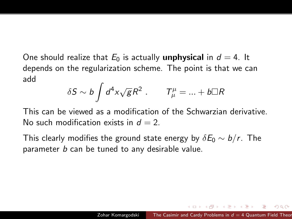One should realize that  $E_0$  is actually **unphysical** in  $d = 4$ . It depends on the regularization scheme. The point is that we can add

$$
\delta S \sim b \int d^4x \sqrt{g} R^2 \ . \qquad \mathcal{T}^\mu_\mu = ... + b \Box R
$$

This can be viewed as a modification of the Schwarzian derivative. No such modification exists in  $d = 2$ .

This clearly modifies the ground state energy by  $\delta E_0 \sim b/r$ . The parameter  $b$  can be tuned to any desirable value.

伊 ▶ イヨ ▶ イヨ ▶ │ ヨ

 $200$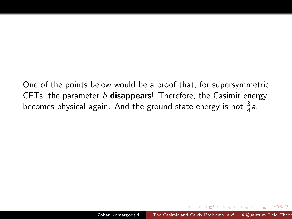One of the points below would be a proof that, for supersymmetric CFTs, the parameter  $b$  disappears! Therefore, the Casimir energy becomes physical again. And the ground state energy is not  $\frac{3}{4}$ a.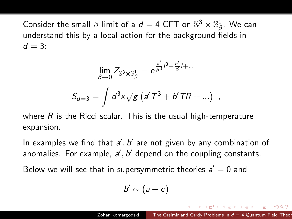Consider the small  $\beta$  limit of a  $d=$  4 CFT on  $\mathbb{S}^3\times\mathbb{S}^1_{\beta}$ . We can understand this by a local action for the background fields in  $d = 3$ :

$$
\lim_{\beta \to 0} Z_{\mathbb{S}^3 \times \mathbb{S}^1_{\beta}} = e^{\frac{a'}{\beta^3} \beta + \frac{b'}{\beta} I + ...}
$$
  

$$
S_{d=3} = \int d^3x \sqrt{g} \left( a' T^3 + b' T R + ... \right) ,
$$

where  $R$  is the Ricci scalar. This is the usual high-temperature expansion.

In examples we find that  $a'$ ,  $b'$  are not given by any combination of anomalies. For example,  $a', b'$  depend on the coupling constants.

Below we will see that in supersymmetric theories  $a' = 0$  and

$$
b'\sim (a-c)
$$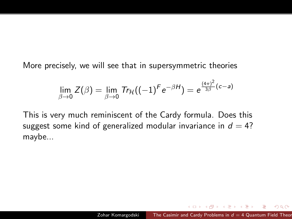More precisely, we will see that in supersymmetric theories

$$
\lim_{\beta \to 0} Z(\beta) = \lim_{\beta \to 0} \text{Tr}_{\mathcal{H}}((-1)^F e^{-\beta H}) = e^{\frac{(4\pi)^2}{3\beta}(c-a)}
$$

This is very much reminiscent of the Cardy formula. Does this suggest some kind of generalized modular invariance in  $d = 4$ ? maybe...

 $2Q$ 

医单侧 医单侧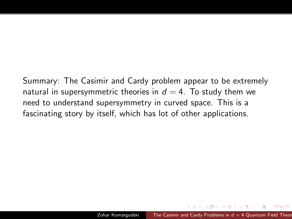Summary: The Casimir and Cardy problem appear to be extremely natural in supersymmetric theories in  $d = 4$ . To study them we need to understand supersymmetry in curved space. This is a fascinating story by itself, which has lot of other applications.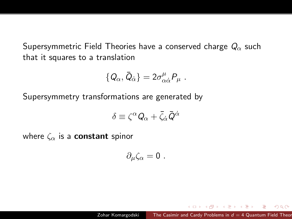Supersymmetric Field Theories have a conserved charge  $Q_{\alpha}$  such that it squares to a translation

$$
\{Q_\alpha,\bar{Q}_{\dot{\alpha}}\} = 2\sigma^{\mu}_{\alpha\dot{\alpha}}P_{\mu} .
$$

Supersymmetry transformations are generated by

$$
\delta \equiv \zeta^{\alpha} Q_{\alpha} + \bar{\zeta}_{\dot{\alpha}} \bar{Q}^{\dot{\alpha}}
$$

where  $\zeta_{\alpha}$  is a **constant** spinor

$$
\partial_\mu \zeta_\alpha = 0 \; .
$$

つくへ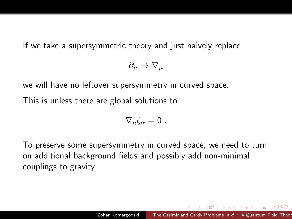If we take a supersymmetric theory and just naively replace

$$
\partial_\mu \rightarrow \nabla_\mu
$$

we will have no leftover supersymmetry in curved space.

This is unless there are global solutions to

$$
\nabla_{\mu}\zeta_{\alpha}=0.
$$

To preserve some supersymmetry in curved space, we need to turn on additional background fields and possibly add non-minimal couplings to gravity.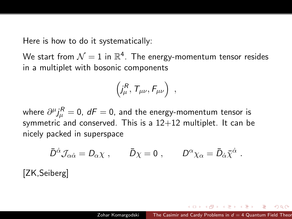Here is how to do it systematically:

We start from  $\mathcal{N}=1$  in  $\mathbb{R}^4.$  The energy-momentum tensor resides in a multiplet with bosonic components

$$
\left(j^R_\mu, T_{\mu\nu}, F_{\mu\nu}\right) ,
$$

where  $\partial^\mu j^R_\mu=0$ ,  $d{\cal F}=0$ , and the energy-momentum tensor is symmetric and conserved. This is a  $12+12$  multiplet. It can be nicely packed in superspace

$$
\bar{D}^{\dot{\alpha}}\mathcal{J}_{\alpha\dot{\alpha}}=D_{\alpha}\chi\;,\t\qquad\t\bar{D}\chi=0\;,\t\qquad\t D^{\alpha}\chi_{\alpha}=\bar{D}_{\dot{\alpha}}\bar{\chi}^{\dot{\alpha}}\;.
$$

[ZK,Seiberg]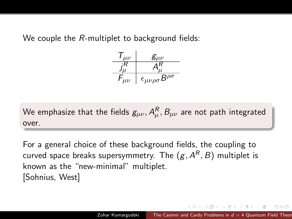We couple the R-multiplet to background fields:

$$
\begin{array}{c|c}\n\mathcal{T}_{\mu\nu} & \mathcal{g}_{\mu\nu} \\
\hline\n\frac{j_{\mu}^{R}}{\mu} & A_{\mu}^{R} \\
\hline\nF_{\mu\nu} & \epsilon_{\mu\nu\rho\sigma}B^{\rho\sigma}\n\end{array}
$$

We emphasize that the fields  $g_{\mu\nu}, A_{\mu}^R, B_{\mu\nu}$  are not path integrated over.

For a general choice of these background fields, the coupling to curved space breaks supersymmetry. The  $({\it g}, {\it A}^{\it R}, {\it B})$  multiplet is known as the "new-minimal" multiplet. [Sohnius, West]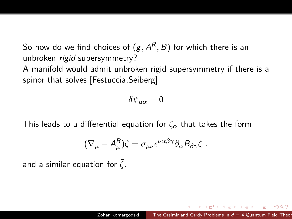So how do we find choices of  $({\bar g}, A^R, B)$  for which there is an unbroken rigid supersymmetry?

A manifold would admit unbroken rigid supersymmetry if there is a spinor that solves [Festuccia,Seiberg]

$$
\delta \psi_{\mu\alpha}=0
$$

This leads to a differential equation for  $\zeta_{\alpha}$  that takes the form

$$
(\nabla_{\mu}-A_{\mu}^{R})\zeta=\sigma_{\mu\nu}\epsilon^{\nu\alpha\beta\gamma}\partial_{\alpha}B_{\beta\gamma}\zeta.
$$

and a similar equation for  $\bar{\zeta}.$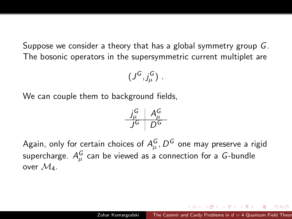Suppose we consider a theory that has a global symmetry group G. The bosonic operators in the supersymmetric current multiplet are

$$
(J^G,j^G_\mu)\ .
$$

We can couple them to background fields,

$$
\begin{array}{c|c}\nJ_\mu^G & A_\mu^G \\
\hline\nJ^G & D^G\n\end{array}
$$

Again, only for certain choices of  $A_\mu^G, D^G$  one may preserve a rigid supercharge.  $A_\mu^G$  can be viewed as a connection for a  $G\text{-bundle}$ over  $\mathcal{M}_4$ .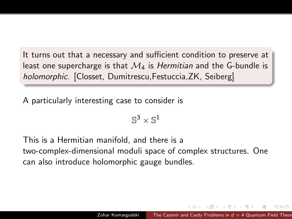It turns out that a necessary and sufficient condition to preserve at least one supercharge is that  $\mathcal{M}_4$  is *Hermitian* and the G-bundle is holomorphic. [Closset, Dumitrescu,Festuccia,ZK, Seiberg]

A particularly interesting case to consider is

$$
\mathbb{S}^3\times \mathbb{S}^1
$$

This is a Hermitian manifold, and there is a two-complex-dimensional moduli space of complex structures. One can also introduce holomorphic gauge bundles.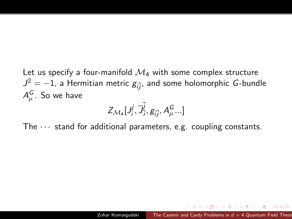Let us specify a four-manifold  $\mathcal{M}_4$  with some complex structure  $J^2=-1$ , a Hermitian metric  $\bar{g}_{i\bar{j}},$  and some holomorphic  $G$ -bundle  $A_\mu^G.$  So we have

$$
Z_{\mathcal{M}_4}[\mathcal{J}_i^j, \overline{\mathcal{J}}_{\overline{i}}^{\overline{j}}, g_{i\overline{j}}, A^G_\mu...]
$$

The  $\cdots$  stand for additional parameters, e.g. coupling constants.

医阿里氏阿里氏征

 $\Omega$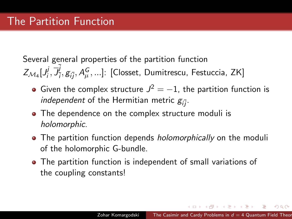Several general properties of the partition function  $Z_{\mathcal{M}_4} [J_i^j]$  $\vec{y}, \vec{J}_{\bar{i}}$  $\frac{d}{dt^j}, g_{i\overline{j}}, A^{\pmb{G}}_{\mu}, ...]$ : [Closset, Dumitrescu, Festuccia, ZK]

- Given the complex structure  $J^2 = -1$ , the partition function is *independent* of the Hermitian metric  $g_{i\bar{j}}$ .
- The dependence on the complex structure moduli is holomorphic.
- The partition function depends *holomorphically* on the moduli of the holomorphic G-bundle.
- The partition function is independent of small variations of the coupling constants!

 $\mathcal{A}(\overline{\mathcal{P}}) \rightarrow \mathcal{A}(\mathbb{B}) \rightarrow \mathcal{A}(\mathbb{B}) \rightarrow \mathbb{B}$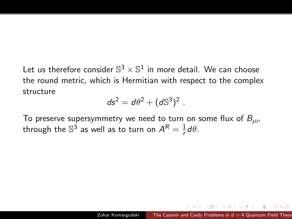Let us therefore consider  $\mathbb{S}^3 \times \mathbb{S}^1$  in more detail. We can choose the round metric, which is Hermitian with respect to the complex structure

$$
ds^2 = d\theta^2 + (d\mathbb{S}^3)^2.
$$

To preserve supersymmetry we need to turn on some flux of  $B_{\mu\nu}$ through the  $\mathbb{S}^3$  as well as to turn on  $\mathcal{A}^R = \frac{1}{r}$  $\frac{1}{r}d\theta$ .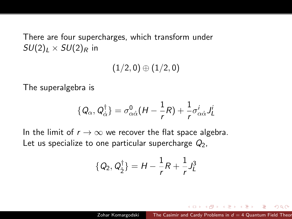There are four supercharges, which transform under  $SU(2)_I \times SU(2)_R$  in

 $(1/2, 0) \oplus (1/2, 0)$ 

The superalgebra is

$$
\{Q_{\alpha}, Q_{\dot{\alpha}}^{\dagger}\} = \sigma_{\alpha\dot{\alpha}}^{0}(H - \frac{1}{r}R) + \frac{1}{r}\sigma_{\alpha\dot{\alpha}}^{i}J_{L}^{i}
$$

In the limit of  $r \to \infty$  we recover the flat space algebra. Let us specialize to one particular supercharge  $Q_2$ ,

$$
\{Q_2, Q_2^{\dagger}\} = H - \frac{1}{r}R + \frac{1}{r}J_L^3
$$

つくへ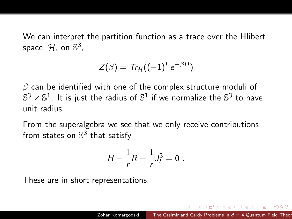We can interpret the partition function as a trace over the Hlibert space,  $\mathcal{H}$ , on  $\mathbb{S}^3$ ,

$$
Z(\beta) = Tr_{\mathcal{H}}((-1)^F e^{-\beta H})
$$

 $\beta$  can be identified with one of the complex structure moduli of  $\mathbb{S}^3 \times \mathbb{S}^1$ . It is just the radius of  $\mathbb{S}^1$  if we normalize the  $\mathbb{S}^3$  to have unit radius.

From the superalgebra we see that we only receive contributions from states on  $\mathbb{S}^3$  that satisfy

$$
H - \frac{1}{r}R + \frac{1}{r}J_L^3 = 0.
$$

These are in short representations.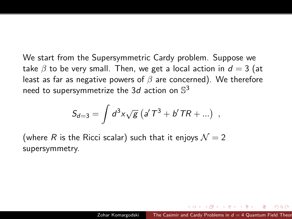We start from the Supersymmetric Cardy problem. Suppose we take  $\beta$  to be very small. Then, we get a local action in  $d = 3$  (at least as far as negative powers of  $\beta$  are concerned). We therefore need to supersymmetrize the 3*d* action on  $\mathbb{S}^3$ 

$$
S_{d=3} = \int d^3x \sqrt{g} (a' T^3 + b' T R + ...) ,
$$

(where R is the Ricci scalar) such that it enjoys  $\mathcal{N} = 2$ supersymmetry.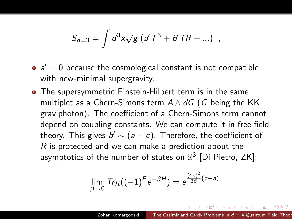$$
S_{d=3} = \int d^3x \sqrt{g} (a' T^3 + b' T R + ...) ,
$$

- $a' = 0$  because the cosmological constant is not compatible with new-minimal supergravity.
- The supersymmetric Einstein-Hilbert term is in the same multiplet as a Chern-Simons term  $A \wedge dG$  (G being the KK graviphoton). The coefficient of a Chern-Simons term cannot depend on coupling constants. We can compute it in free field theory. This gives  $b'\sim (a-c)$ . Therefore, the coefficient of  $R$  is protected and we can make a prediction about the asymptotics of the number of states on  $\mathbb{S}^3$  [Di Pietro, ZK]:

$$
\lim_{\beta \to 0} \mathsf{Tr}_{\mathcal{H}}((-1)^F e^{-\beta H}) = e^{\frac{(4\pi)^2}{3\beta}(c-a)}
$$

ねゃ マミャマミャ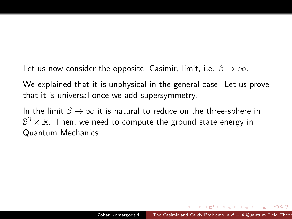Let us now consider the opposite, Casimir, limit, i.e.  $\beta \to \infty$ .

We explained that it is unphysical in the general case. Let us prove that it is universal once we add supersymmetry.

In the limit  $\beta \to \infty$  it is natural to reduce on the three-sphere in  $\mathbb{S}^3 \times \mathbb{R}$ . Then, we need to compute the ground state energy in Quantum Mechanics.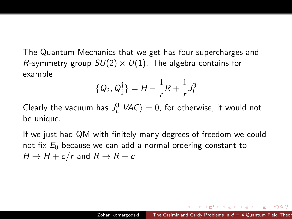The Quantum Mechanics that we get has four supercharges and R-symmetry group  $SU(2) \times U(1)$ . The algebra contains for example

$$
\{Q_2, Q_2^{\dagger}\} = H - \frac{1}{r}R + \frac{1}{r}J_L^3
$$

Clearly the vacuum has  $J^3_L|VAC\rangle = 0$ , for otherwise, it would not be unique.

If we just had QM with finitely many degrees of freedom we could not fix  $E_0$  because we can add a normal ordering constant to  $H \rightarrow H + c/r$  and  $R \rightarrow R + c$ 

Alberta Barbara (1986-1986)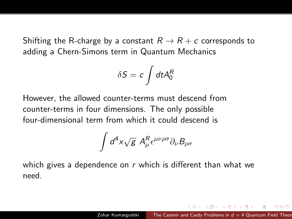Shifting the R-charge by a constant  $R \to R+c$  corresponds to adding a Chern-Simons term in Quantum Mechanics

$$
\delta S = c \int dt A_0^R
$$

However, the allowed counter-terms must descend from counter-terms in four dimensions. The only possible four-dimensional term from which it could descend is

$$
\int d^4x \sqrt{g}~A^R_\mu \epsilon^{\mu\nu\rho\sigma}\partial_\nu B_{\rho\sigma}
$$

which gives a dependence on  $r$  which is different than what we need.

何 ▶ ヨ ヨ ▶ ヨ ヨ ▶ │ │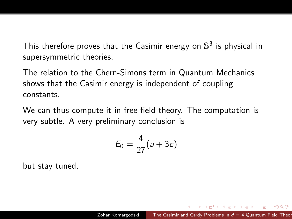This therefore proves that the Casimir energy on  $\mathbb{S}^3$  is physical in supersymmetric theories.

The relation to the Chern-Simons term in Quantum Mechanics shows that the Casimir energy is independent of coupling constants.

We can thus compute it in free field theory. The computation is very subtle. A very preliminary conclusion is

$$
E_0=\frac{4}{27}(a+3c)
$$

but stay tuned.

**A BAY A BA** 

 $\Omega$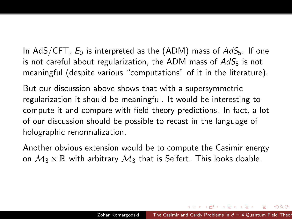In AdS/CFT,  $E_0$  is interpreted as the (ADM) mass of  $AdS_5$ . If one is not careful about regularization, the ADM mass of  $AdS<sub>5</sub>$  is not meaningful (despite various "computations" of it in the literature).

But our discussion above shows that with a supersymmetric regularization it should be meaningful. It would be interesting to compute it and compare with field theory predictions. In fact, a lot of our discussion should be possible to recast in the language of holographic renormalization.

Another obvious extension would be to compute the Casimir energy on  $M_3 \times \mathbb{R}$  with arbitrary  $M_3$  that is Seifert. This looks doable.

メタト メミト メミト